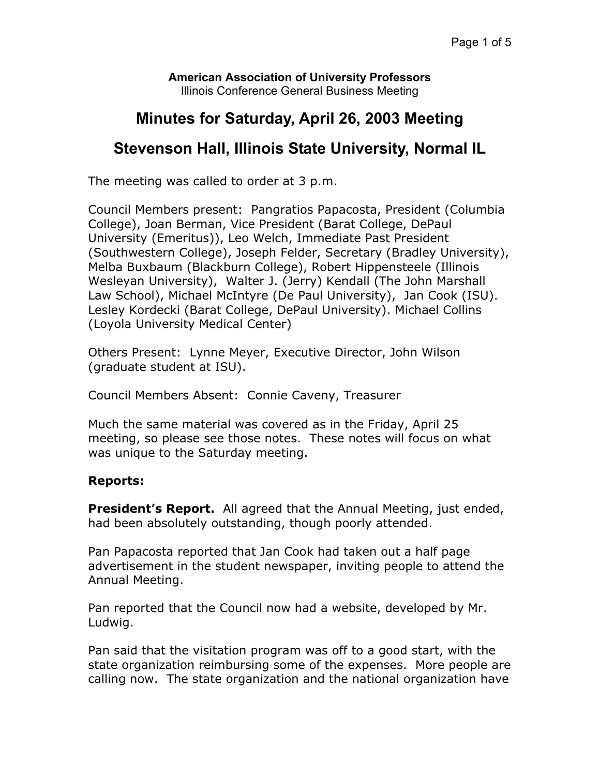**American Association of University Professors**  Illinois Conference General Business Meeting

# **Minutes for Saturday, April 26, 2003 Meeting**

## **Stevenson Hall, Illinois State University, Normal IL**

The meeting was called to order at 3 p.m.

Council Members present: Pangratios Papacosta, President (Columbia College), Joan Berman, Vice President (Barat College, DePaul University (Emeritus)), Leo Welch, Immediate Past President (Southwestern College), Joseph Felder, Secretary (Bradley University), Melba Buxbaum (Blackburn College), Robert Hippensteele (Illinois Wesleyan University), Walter J. (Jerry) Kendall (The John Marshall Law School), Michael McIntyre (De Paul University), Jan Cook (ISU). Lesley Kordecki (Barat College, DePaul University). Michael Collins (Loyola University Medical Center)

Others Present: Lynne Meyer, Executive Director, John Wilson (graduate student at ISU).

Council Members Absent: Connie Caveny, Treasurer

Much the same material was covered as in the Friday, April 25 meeting, so please see those notes. These notes will focus on what was unique to the Saturday meeting.

### **Reports:**

**President's Report.** All agreed that the Annual Meeting, just ended, had been absolutely outstanding, though poorly attended.

Pan Papacosta reported that Jan Cook had taken out a half page advertisement in the student newspaper, inviting people to attend the Annual Meeting.

Pan reported that the Council now had a website, developed by Mr. Ludwig.

Pan said that the visitation program was off to a good start, with the state organization reimbursing some of the expenses. More people are calling now. The state organization and the national organization have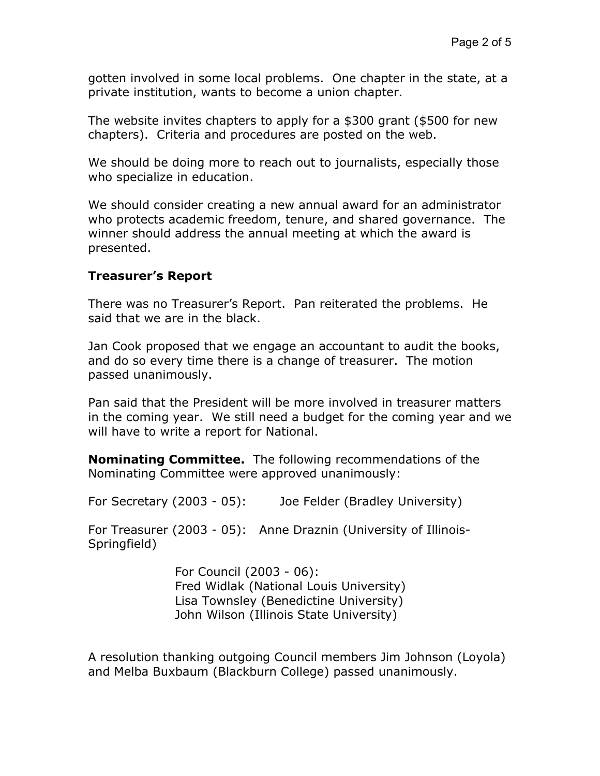gotten involved in some local problems. One chapter in the state, at a private institution, wants to become a union chapter.

The website invites chapters to apply for a \$300 grant (\$500 for new chapters). Criteria and procedures are posted on the web.

We should be doing more to reach out to journalists, especially those who specialize in education.

We should consider creating a new annual award for an administrator who protects academic freedom, tenure, and shared governance. The winner should address the annual meeting at which the award is presented.

### **Treasurer's Report**

There was no Treasurer's Report. Pan reiterated the problems. He said that we are in the black.

Jan Cook proposed that we engage an accountant to audit the books, and do so every time there is a change of treasurer. The motion passed unanimously.

Pan said that the President will be more involved in treasurer matters in the coming year. We still need a budget for the coming year and we will have to write a report for National.

**Nominating Committee.** The following recommendations of the Nominating Committee were approved unanimously:

For Secretary (2003 - 05): Joe Felder (Bradley University)

For Treasurer (2003 - 05): Anne Draznin (University of Illinois-Springfield)

> For Council (2003 - 06): Fred Widlak (National Louis University) Lisa Townsley (Benedictine University) John Wilson (Illinois State University)

A resolution thanking outgoing Council members Jim Johnson (Loyola) and Melba Buxbaum (Blackburn College) passed unanimously.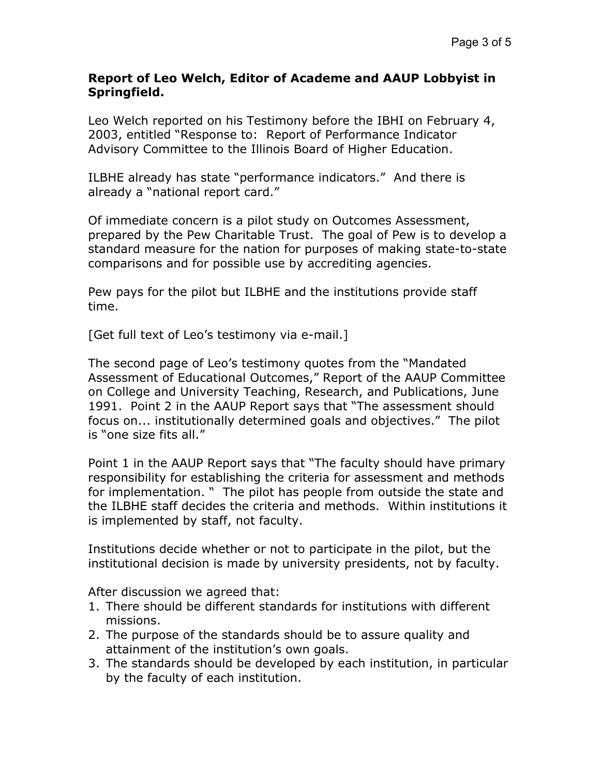#### **Report of Leo Welch, Editor of Academe and AAUP Lobbyist in Springfield.**

Leo Welch reported on his Testimony before the IBHI on February 4, 2003, entitled "Response to: Report of Performance Indicator Advisory Committee to the Illinois Board of Higher Education.

ILBHE already has state "performance indicators." And there is already a "national report card."

Of immediate concern is a pilot study on Outcomes Assessment, prepared by the Pew Charitable Trust. The goal of Pew is to develop a standard measure for the nation for purposes of making state-to-state comparisons and for possible use by accrediting agencies.

Pew pays for the pilot but ILBHE and the institutions provide staff time.

[Get full text of Leo's testimony via e-mail.]

The second page of Leo's testimony quotes from the "Mandated Assessment of Educational Outcomes," Report of the AAUP Committee on College and University Teaching, Research, and Publications, June 1991. Point 2 in the AAUP Report says that "The assessment should focus on... institutionally determined goals and objectives." The pilot is "one size fits all."

Point 1 in the AAUP Report says that "The faculty should have primary responsibility for establishing the criteria for assessment and methods for implementation. " The pilot has people from outside the state and the ILBHE staff decides the criteria and methods. Within institutions it is implemented by staff, not faculty.

Institutions decide whether or not to participate in the pilot, but the institutional decision is made by university presidents, not by faculty.

After discussion we agreed that:

- 1. There should be different standards for institutions with different missions.
- 2. The purpose of the standards should be to assure quality and attainment of the institution's own goals.
- 3. The standards should be developed by each institution, in particular by the faculty of each institution.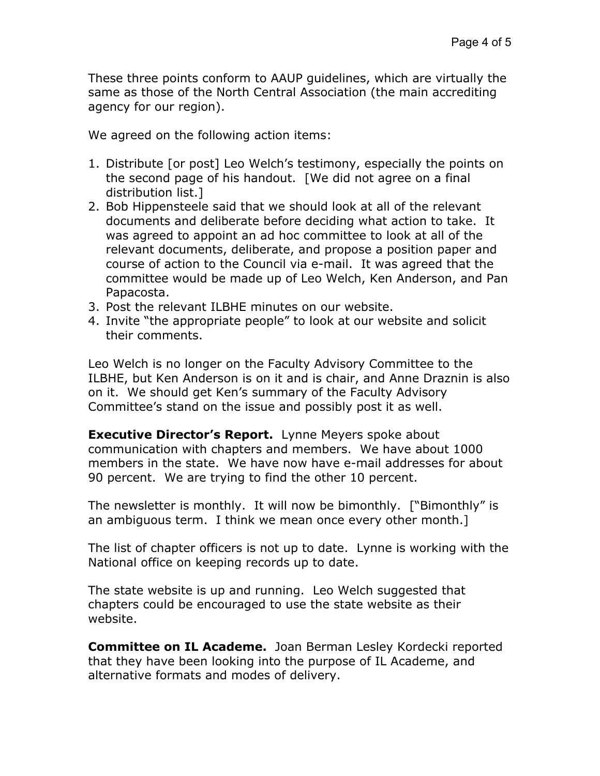These three points conform to AAUP guidelines, which are virtually the same as those of the North Central Association (the main accrediting agency for our region).

We agreed on the following action items:

- 1. Distribute [or post] Leo Welch's testimony, especially the points on the second page of his handout. [We did not agree on a final distribution list.]
- 2. Bob Hippensteele said that we should look at all of the relevant documents and deliberate before deciding what action to take. It was agreed to appoint an ad hoc committee to look at all of the relevant documents, deliberate, and propose a position paper and course of action to the Council via e-mail. It was agreed that the committee would be made up of Leo Welch, Ken Anderson, and Pan Papacosta.
- 3. Post the relevant ILBHE minutes on our website.
- 4. Invite "the appropriate people" to look at our website and solicit their comments.

Leo Welch is no longer on the Faculty Advisory Committee to the ILBHE, but Ken Anderson is on it and is chair, and Anne Draznin is also on it. We should get Ken's summary of the Faculty Advisory Committee's stand on the issue and possibly post it as well.

**Executive Director's Report.** Lynne Meyers spoke about communication with chapters and members. We have about 1000 members in the state. We have now have e-mail addresses for about 90 percent. We are trying to find the other 10 percent.

The newsletter is monthly. It will now be bimonthly. ["Bimonthly" is an ambiguous term. I think we mean once every other month.]

The list of chapter officers is not up to date. Lynne is working with the National office on keeping records up to date.

The state website is up and running. Leo Welch suggested that chapters could be encouraged to use the state website as their website.

**Committee on IL Academe.** Joan Berman Lesley Kordecki reported that they have been looking into the purpose of IL Academe, and alternative formats and modes of delivery.